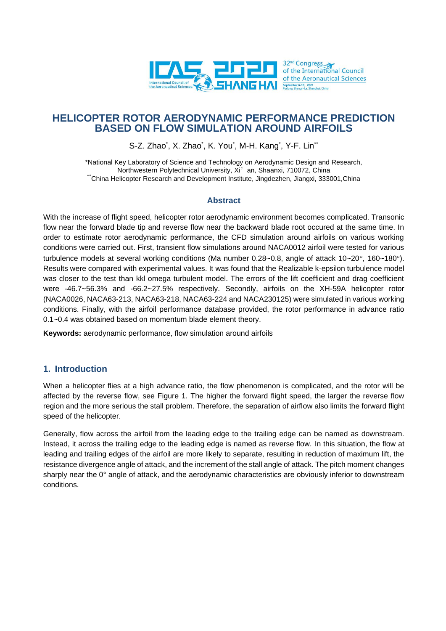

# **HELICOPTER ROTOR AERODYNAMIC PERFORMANCE PREDICTION BASED ON FLOW SIMULATION AROUND AIRFOILS**

S-Z. Zhao $^{\circ}$ , X. Zhao $^{\circ}$ , K. You $^{\circ}$ , M-H. Kang $^{\circ}$ , Y-F. Lin $^{\circ\circ}$ 

\*National Key Laboratory of Science and Technology on Aerodynamic Design and Research, Northwestern Polytechnical University, Xi' an, Shaanxi, 710072, China \*\*China Helicopter Research and Development Institute, Jingdezhen, Jiangxi, 333001,China

### **Abstract**

With the increase of flight speed, helicopter rotor aerodynamic environment becomes complicated. Transonic flow near the forward blade tip and reverse flow near the backward blade root occured at the same time. In order to estimate rotor aerodynamic performance, the CFD simulation around airfoils on various working conditions were carried out. First, transient flow simulations around NACA0012 airfoil were tested for various turbulence models at several working conditions (Ma number  $0.28 - 0.8$ , angle of attack  $10 - 20^\circ$ ,  $160 - 180^\circ$ ). Results were compared with experimental values. It was found that the Realizable k-epsilon turbulence model was closer to the test than kkl omega turbulent model. The errors of the lift coefficient and drag coefficient were -46.7~56.3% and -66.2~27.5% respectively. Secondly, airfoils on the XH-59A helicopter rotor (NACA0026, NACA63-213, NACA63-218, NACA63-224 and NACA230125) were simulated in various working conditions. Finally, with the airfoil performance database provided, the rotor performance in advance ratio 0.1~0.4 was obtained based on momentum blade element theory.

**Keywords:** aerodynamic performance, flow simulation around airfoils

## **1. Introduction**

When a helicopter flies at a high advance ratio, the flow phenomenon is complicated, and the rotor will be affected by the reverse flow, see Figure 1. The higher the forward flight speed, the larger the reverse flow region and the more serious the stall problem. Therefore, the separation of airflow also limits the forward flight speed of the helicopter.

Generally, flow across the airfoil from the leading edge to the trailing edge can be named as downstream. Instead, it across the trailing edge to the leading edge is named as reverse flow. In this situation, the flow at leading and trailing edges of the airfoil are more likely to separate, resulting in reduction of maximum lift, the resistance divergence angle of attack, and the increment of the stall angle of attack. The pitch moment changes sharply near the 0° angle of attack, and the aerodynamic characteristics are obviously inferior to downstream conditions.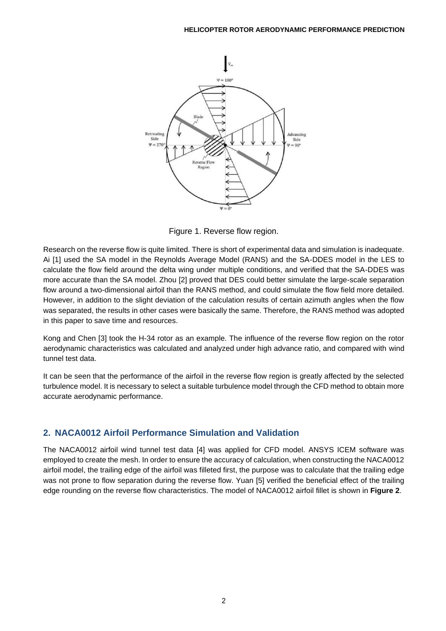

Figure 1. Reverse flow region.

Research on the reverse flow is quite limited. There is short of experimental data and simulation is inadequate. Ai [1] used the SA model in the Reynolds Average Model (RANS) and the SA-DDES model in the LES to calculate the flow field around the delta wing under multiple conditions, and verified that the SA-DDES was more accurate than the SA model. Zhou [2] proved that DES could better simulate the large-scale separation flow around a two-dimensional airfoil than the RANS method, and could simulate the flow field more detailed. However, in addition to the slight deviation of the calculation results of certain azimuth angles when the flow was separated, the results in other cases were basically the same. Therefore, the RANS method was adopted in this paper to save time and resources.

Kong and Chen [3] took the H-34 rotor as an example. The influence of the reverse flow region on the rotor aerodynamic characteristics was calculated and analyzed under high advance ratio, and compared with wind tunnel test data.

It can be seen that the performance of the airfoil in the reverse flow region is greatly affected by the selected turbulence model. It is necessary to select a suitable turbulence model through the CFD method to obtain more accurate aerodynamic performance.

# **2. NACA0012 Airfoil Performance Simulation and Validation**

The NACA0012 airfoil wind tunnel test data [4] was applied for CFD model. ANSYS ICEM software was employed to create the mesh. In order to ensure the accuracy of calculation, when constructing the NACA0012 airfoil model, the trailing edge of the airfoil was filleted first, the purpose was to calculate that the trailing edge was not prone to flow separation during the reverse flow. Yuan [5] verified the beneficial effect of the trailing edge rounding on the reverse flow characteristics. The model of NACA0012 airfoil fillet is shown in **Figure 2**.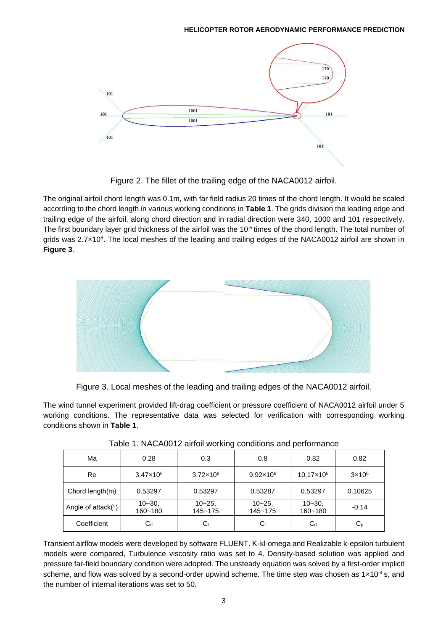

Figure 2. The fillet of the trailing edge of the NACA0012 airfoil.

The original airfoil chord length was 0.1m, with far field radius 20 times of the chord length. It would be scaled according to the chord length in various working conditions in **Table 1**. The grids division the leading edge and trailing edge of the airfoil, along chord direction and in radial direction were 340, 1000 and 101 respectively. The first boundary layer grid thickness of the airfoil was the 10<sup>-5</sup> times of the chord length. The total number of grids was 2.7×10<sup>5</sup> . The local meshes of the leading and trailing edges of the NACA0012 airfoil are shown in **Figure 3**.



Figure 3. Local meshes of the leading and trailing edges of the NACA0012 airfoil.

The wind tunnel experiment provided lift-drag coefficient or pressure coefficient of NACA0012 airfoil under 5 working conditions. The representative data was selected for verification with corresponding working conditions shown in **Table 1**.

| Ma                                                | 0.28                 | 0.3                      | 0.8                  | 0.82                  | 0.82                      |
|---------------------------------------------------|----------------------|--------------------------|----------------------|-----------------------|---------------------------|
| Re                                                | $3.47 \times 10^{6}$ | $3.72 \times 10^6$       | $9.92 \times 10^6$   | 10.17×10 <sup>6</sup> | $3\times10^6$             |
| Chord $length(m)$                                 | 0.53297              | 0.53297                  | 0.53287              | 0.53297               | 0.10625                   |
| Angle of $attack$ <sup><math>\circ</math></sup> ) | $10 - 30$<br>160~180 | $10 - 25$<br>$145 - 175$ | $10 - 25$<br>145~175 | $10 - 30$<br>160~180  | $-0.14$                   |
| Coefficient                                       | $\mathtt{C_d}$       | С                        | Cı                   | $C_d$                 | $\mathsf{C}_{\mathsf{P}}$ |

Table 1. NACA0012 airfoil working conditions and performance

Transient airflow models were developed by software FLUENT. K-kl-omega and Realizable k-epsilon turbulent models were compared, Turbulence viscosity ratio was set to 4. Density-based solution was applied and pressure far-field boundary condition were adopted. The unsteady equation was solved by a first-order implicit scheme, and flow was solved by a second-order upwind scheme. The time step was chosen as  $1 \times 10^{-4}$  s, and the number of internal iterations was set to 50.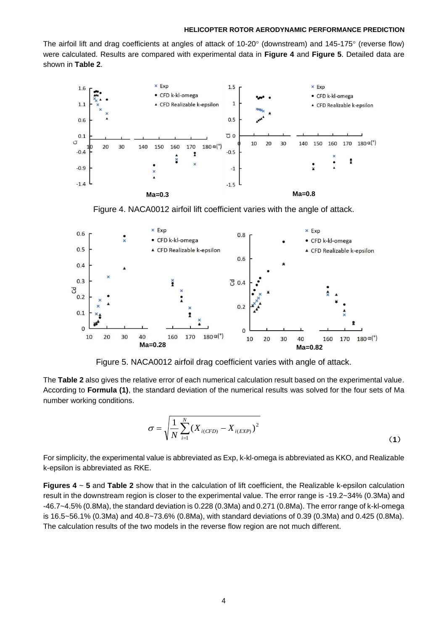The airfoil lift and drag coefficients at angles of attack of 10-20 $\degree$  (downstream) and 145-175 $\degree$  (reverse flow) were calculated. Results are compared with experimental data in **Figure 4** and **Figure 5**. Detailed data are shown in **Table 2**.



Figure 4. NACA0012 airfoil lift coefficient varies with the angle of attack.



Figure 5. NACA0012 airfoil drag coefficient varies with angle of attack.

The **Table 2** also gives the relative error of each numerical calculation result based on the experimental value. According to **Formula (1)**, the standard deviation of the numerical results was solved for the four sets of Ma number working conditions.

$$
\sigma = \sqrt{\frac{1}{N} \sum_{i=1}^{N} (X_{i(CFD)} - X_{i(EXP)})^2}
$$
\n(1)

For simplicity, the experimental value is abbreviated as Exp, k-kl-omega is abbreviated as KKO, and Realizable k-epsilon is abbreviated as RKE.

**Figures 4** ~ **5** and **Table 2** show that in the calculation of lift coefficient, the Realizable k-epsilon calculation result in the downstream region is closer to the experimental value. The error range is -19.2~34% (0.3Ma) and -46.7~4.5% (0.8Ma), the standard deviation is 0.228 (0.3Ma) and 0.271 (0.8Ma). The error range of k-kl-omega is 16.5~56.1% (0.3Ma) and 40.8~73.6% (0.8Ma), with standard deviations of 0.39 (0.3Ma) and 0.425 (0.8Ma). The calculation results of the two models in the reverse flow region are not much different.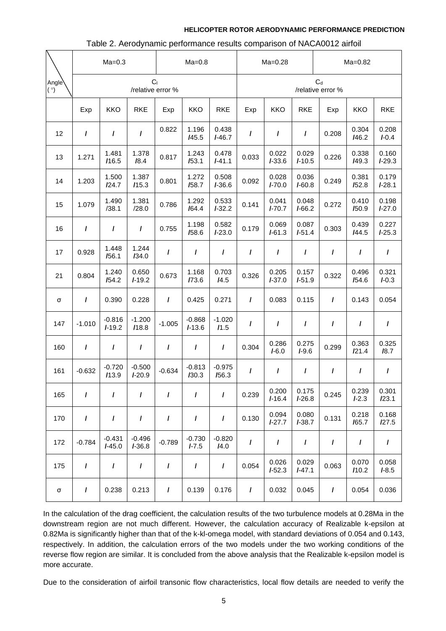|                           | $Ma=0.3$                            |                      |                      | $Ma=0.8$ |                       |                   | $Ma=0.28$                  |                     |                   | $Ma=0.82$ |                    |                    |
|---------------------------|-------------------------------------|----------------------|----------------------|----------|-----------------------|-------------------|----------------------------|---------------------|-------------------|-----------|--------------------|--------------------|
| Angle <sup>\</sup><br>(°) | C <sub>1</sub><br>/relative error % |                      |                      |          |                       |                   | $C_d$<br>/relative error % |                     |                   |           |                    |                    |
|                           | Exp                                 | <b>KKO</b>           | <b>RKE</b>           | Exp      | <b>KKO</b>            | <b>RKE</b>        | Exp                        | <b>KKO</b>          | <b>RKE</b>        | Exp       | <b>KKO</b>         | <b>RKE</b>         |
| 12                        | $\prime$                            | $\prime$             | $\prime$             | 0.822    | 1.196<br>/45.5        | 0.438<br>$I-46.7$ | I                          | I                   | I                 | 0.208     | 0.304<br>I46.2     | 0.208<br>$I - 0.4$ |
| 13                        | 1.271                               | 1.481<br>/16.5       | 1.378<br>18.4        | 0.817    | 1.243<br>153.1        | 0.478<br>$I-41.1$ | 0.033                      | 0.022<br>$I-33.6$   | 0.029<br>$I-10.5$ | 0.226     | 0.338<br>149.3     | 0.160<br>$I-29.3$  |
| 14                        | 1.203                               | 1.500<br>124.7       | 1.387<br>115.3       | 0.801    | 1.272<br>I58.7        | 0.508<br>$I-36.6$ | 0.092                      | 0.028<br>$I - 70.0$ | 0.036<br>$I-60.8$ | 0.249     | 0.381<br>152.8     | 0.179<br>$I-28.1$  |
| 15                        | 1.079                               | 1.490<br>/38.1       | 1.381<br>/28.0       | 0.786    | 1.292<br>164.4        | 0.533<br>$I-32.2$ | 0.141                      | 0.041<br>$I - 70.7$ | 0.048<br>$I-66.2$ | 0.272     | 0.410<br>/50.9     | 0.198<br>$I-27.0$  |
| 16                        | $\prime$                            | $\prime$             | $\prime$             | 0.755    | 1.198<br>/58.6        | 0.582<br>$I-23.0$ | 0.179                      | 0.069<br>$I - 61.3$ | 0.087<br>$I-51.4$ | 0.303     | 0.439<br>144.5     | 0.227<br>$I-25.3$  |
| 17                        | 0.928                               | 1.448<br>/56.1       | 1.244<br>134.0       | I        | I                     | $\prime$          | I                          | I                   | I                 | $\prime$  | I                  | I                  |
| 21                        | 0.804                               | 1.240<br>154.2       | 0.650<br>$I-19.2$    | 0.673    | 1.168<br>/73.6        | 0.703<br>14.5     | 0.326                      | 0.205<br>$I - 37.0$ | 0.157<br>$I-51.9$ | 0.322     | 0.496<br>154.6     | 0.321<br>$I - 0.3$ |
| σ                         | $\prime$                            | 0.390                | 0.228                | $\prime$ | 0.425                 | 0.271             | I                          | 0.083               | 0.115             | $\prime$  | 0.143              | 0.054              |
| 147                       | $-1.010$                            | $-0.816$<br>$I-19.2$ | $-1.200$<br>/18.8    | $-1.005$ | $-0.868$<br>$I-13.6$  | $-1.020$<br>11.5  | I                          | $\prime$            | I                 | I         | $\prime$           | $\prime$           |
| 160                       | $\prime$                            | $\prime$             | $\prime$             | $\prime$ | $\prime$              | $\prime$          | 0.304                      | 0.286<br>$I - 6.0$  | 0.275<br>$I-9.6$  | 0.299     | 0.363<br>121.4     | 0.325<br>18.7      |
| 161                       | $-0.632$                            | $-0.720$<br>113.9    | $-0.500$<br>$I-20.9$ | $-0.634$ | $-0.813$<br>130.3     | $-0.975$<br>/56.3 | I                          | I                   | I                 | I         | I                  | I                  |
| 165                       | $\prime$                            | $\prime$             | $\prime$             | $\prime$ | $\prime$              | $\prime$          | 0.239                      | 0.200<br>$I-16.4$   | 0.175<br>$I-26.8$ | 0.245     | 0.239<br>$I - 2.3$ | 0.301<br>123.1     |
| 170                       | $\prime$                            | $\prime$             | $\prime$             | $\prime$ | $\prime$              | $\prime$          | 0.130                      | 0.094<br>$I-27.7$   | 0.080<br>$I-38.7$ | 0.131     | 0.218<br>/65.7     | 0.168<br>127.5     |
| 172                       | $-0.784$                            | $-0.431$<br>$I-45.0$ | $-0.496$<br>$I-36.8$ | $-0.789$ | $-0.730$<br>$I - 7.5$ | $-0.820$<br>I4.0  | I                          | $\prime$            | $\prime$          | $\prime$  | I                  | $\prime$           |
| 175                       | $\prime$                            | $\prime$             | $\prime$             | I        | I                     | I                 | 0.054                      | 0.026<br>$I-52.3$   | 0.029<br>$I-47.1$ | 0.063     | 0.070<br>110.2     | 0.058<br>$I - 8.5$ |
| σ                         | $\prime$                            | 0.238                | 0.213                | $\prime$ | 0.139                 | 0.176             | $\prime$                   | 0.032               | 0.045             | $\prime$  | 0.054              | 0.036              |

### Table 2. Aerodynamic performance results comparison of NACA0012 airfoil

In the calculation of the drag coefficient, the calculation results of the two turbulence models at 0.28Ma in the downstream region are not much different. However, the calculation accuracy of Realizable k-epsilon at 0.82Ma is significantly higher than that of the k-kl-omega model, with standard deviations of 0.054 and 0.143, respectively. In addition, the calculation errors of the two models under the two working conditions of the reverse flow region are similar. It is concluded from the above analysis that the Realizable k-epsilon model is more accurate.

Due to the consideration of airfoil transonic flow characteristics, local flow details are needed to verify the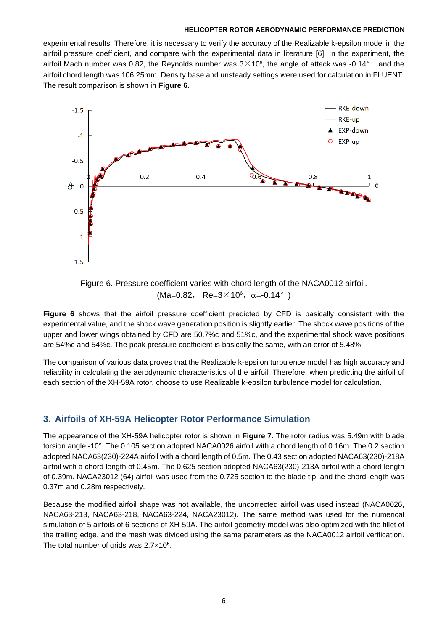experimental results. Therefore, it is necessary to verify the accuracy of the Realizable k-epsilon model in the airfoil pressure coefficient, and compare with the experimental data in literature [6]. In the experiment, the airfoil Mach number was 0.82, the Reynolds number was  $3\times10^6$ , the angle of attack was -0.14°, and the airfoil chord length was 106.25mm. Density base and unsteady settings were used for calculation in FLUENT. The result comparison is shown in **Figure 6**.



Figure 6. Pressure coefficient varies with chord length of the NACA0012 airfoil.  $(Ma=0.82, Re=3\times10^6, \alpha=-0.14^{\circ})$ 

**Figure 6** shows that the airfoil pressure coefficient predicted by CFD is basically consistent with the experimental value, and the shock wave generation position is slightly earlier. The shock wave positions of the upper and lower wings obtained by CFD are 50.7%c and 51%c, and the experimental shock wave positions are 54%c and 54%c. The peak pressure coefficient is basically the same, with an error of 5.48%.

The comparison of various data proves that the Realizable k-epsilon turbulence model has high accuracy and reliability in calculating the aerodynamic characteristics of the airfoil. Therefore, when predicting the airfoil of each section of the XH-59A rotor, choose to use Realizable k-epsilon turbulence model for calculation.

## **3. Airfoils of XH-59A Helicopter Rotor Performance Simulation**

The appearance of the XH-59A helicopter rotor is shown in **Figure 7**. The rotor radius was 5.49m with blade torsion angle -10°. The 0.105 section adopted NACA0026 airfoil with a chord length of 0.16m. The 0.2 section adopted NACA63(230)-224A airfoil with a chord length of 0.5m. The 0.43 section adopted NACA63(230)-218A airfoil with a chord length of 0.45m. The 0.625 section adopted NACA63(230)-213A airfoil with a chord length of 0.39m. NACA23012 (64) airfoil was used from the 0.725 section to the blade tip, and the chord length was 0.37m and 0.28m respectively.

Because the modified airfoil shape was not available, the uncorrected airfoil was used instead (NACA0026, NACA63-213, NACA63-218, NACA63-224, NACA23012). The same method was used for the numerical simulation of 5 airfoils of 6 sections of XH-59A. The airfoil geometry model was also optimized with the fillet of the trailing edge, and the mesh was divided using the same parameters as the NACA0012 airfoil verification. The total number of grids was 2.7×10<sup>5</sup>.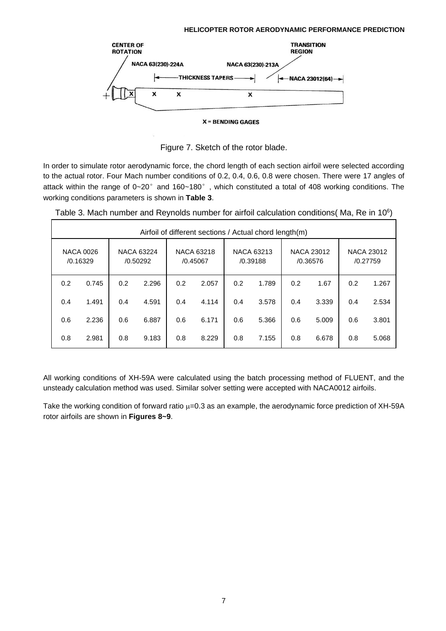

**X = BENDING GAGES** 

Figure 7. Sketch of the rotor blade.

In order to simulate rotor aerodynamic force, the chord length of each section airfoil were selected according to the actual rotor. Four Mach number conditions of 0.2, 0.4, 0.6, 0.8 were chosen. There were 17 angles of attack within the range of 0~20° and 160~180°, which constituted a total of 408 working conditions. The working conditions parameters is shown in **Table 3**.

| Airfoil of different sections / Actual chord length(m) |                              |                        |       |                               |       |                               |       |                               |       |                               |       |
|--------------------------------------------------------|------------------------------|------------------------|-------|-------------------------------|-------|-------------------------------|-------|-------------------------------|-------|-------------------------------|-------|
|                                                        | <b>NACA 0026</b><br>/0.16329 | NACA 63224<br>/0.50292 |       | <b>NACA 63218</b><br>/0.45067 |       | <b>NACA 63213</b><br>/0.39188 |       | <b>NACA 23012</b><br>/0.36576 |       | <b>NACA 23012</b><br>/0.27759 |       |
| 0.2                                                    | 0.745                        | 0.2                    | 2.296 | 0.2                           | 2.057 | 0.2                           | 1.789 | 0.2                           | 1.67  | 0.2                           | 1.267 |
| 0.4                                                    | 1.491                        | 0.4                    | 4.591 | 0.4                           | 4.114 | 0.4                           | 3.578 | 0.4                           | 3.339 | 0.4                           | 2.534 |
| 0.6                                                    | 2.236                        | 0.6                    | 6.887 | 0.6                           | 6.171 | 0.6                           | 5.366 | 0.6                           | 5.009 | 0.6                           | 3.801 |
| 0.8                                                    | 2.981                        | 0.8                    | 9.183 | 0.8                           | 8.229 | 0.8                           | 7.155 | 0.8                           | 6.678 | 0.8                           | 5.068 |

Table 3. Mach number and Reynolds number for airfoil calculation conditions(Ma, Re in 10 $^{\circ}$ )

All working conditions of XH-59A were calculated using the batch processing method of FLUENT, and the unsteady calculation method was used. Similar solver setting were accepted with NACA0012 airfoils.

Take the working condition of forward ratio  $\mu$ =0.3 as an example, the aerodynamic force prediction of XH-59A rotor airfoils are shown in **Figures 8~9**.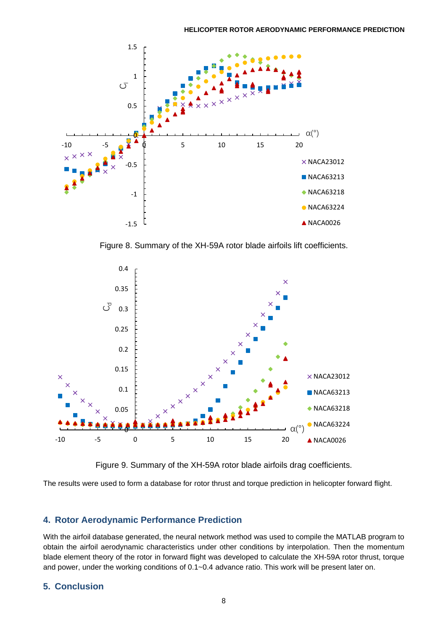

Figure 8. Summary of the XH-59A rotor blade airfoils lift coefficients.



Figure 9. Summary of the XH-59A rotor blade airfoils drag coefficients.

The results were used to form a database for rotor thrust and torque prediction in helicopter forward flight.

## **4. Rotor Aerodynamic Performance Prediction**

With the airfoil database generated, the neural network method was used to compile the MATLAB program to obtain the airfoil aerodynamic characteristics under other conditions by interpolation. Then the momentum blade element theory of the rotor in forward flight was developed to calculate the XH-59A rotor thrust, torque and power, under the working conditions of 0.1~0.4 advance ratio. This work will be present later on.

## **5. Conclusion**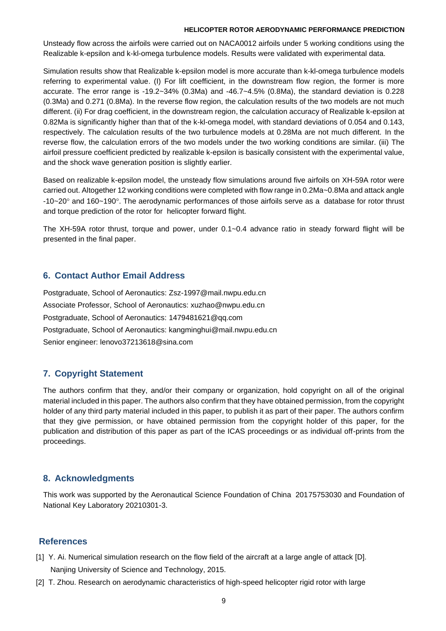Unsteady flow across the airfoils were carried out on NACA0012 airfoils under 5 working conditions using the Realizable k-epsilon and k-kl-omega turbulence models. Results were validated with experimental data.

Simulation results show that Realizable k-epsilon model is more accurate than k-kl-omega turbulence models referring to experimental value. (I) For lift coefficient, in the downstream flow region, the former is more accurate. The error range is -19.2~34% (0.3Ma) and -46.7~4.5% (0.8Ma), the standard deviation is 0.228 (0.3Ma) and 0.271 (0.8Ma). In the reverse flow region, the calculation results of the two models are not much different. (ii) For drag coefficient, in the downstream region, the calculation accuracy of Realizable k-epsilon at 0.82Ma is significantly higher than that of the k-kl-omega model, with standard deviations of 0.054 and 0.143, respectively. The calculation results of the two turbulence models at 0.28Ma are not much different. In the reverse flow, the calculation errors of the two models under the two working conditions are similar. (iii) The airfoil pressure coefficient predicted by realizable k-epsilon is basically consistent with the experimental value, and the shock wave generation position is slightly earlier.

Based on realizable k-epsilon model, the unsteady flow simulations around five airfoils on XH-59A rotor were carried out. Altogether 12 working conditions were completed with flow range in 0.2Ma~0.8Ma and attack angle -10~20 $^{\circ}$  and 160~190 $^{\circ}$ . The aerodynamic performances of those airfoils serve as a database for rotor thrust and torque prediction of the rotor for helicopter forward flight.

The XH-59A rotor thrust, torque and power, under 0.1~0.4 advance ratio in steady forward flight will be presented in the final paper.

## **6. Contact Author Email Address**

Postgraduate, School of Aeronautics: Zsz-1997@mail.nwpu.edu.cn Associate Professor, School of Aeronautics: xuzhao@nwpu.edu.cn Postgraduate, School of Aeronautics: [1479481621@qq.com](mailto:1479481621@qq.com) Postgraduate, School of Aeronautics: kangminghui@mail.nwpu.edu.cn Senior engineer: lenovo37213618@sina.com

## **7. Copyright Statement**

The authors confirm that they, and/or their company or organization, hold copyright on all of the original material included in this paper. The authors also confirm that they have obtained permission, from the copyright holder of any third party material included in this paper, to publish it as part of their paper. The authors confirm that they give permission, or have obtained permission from the copyright holder of this paper, for the publication and distribution of this paper as part of the ICAS proceedings or as individual off-prints from the proceedings.

## **8. Acknowledgments**

This work was supported by the Aeronautical Science Foundation of China 20175753030 and Foundation of National Key Laboratory 20210301-3.

## **References**

- [1] Y. Ai. Numerical simulation research on the flow field of the aircraft at a large angle of attack [D]. Nanjing University of Science and Technology, 2015.
- [2] T. Zhou. Research on aerodynamic characteristics of high-speed helicopter rigid rotor with large